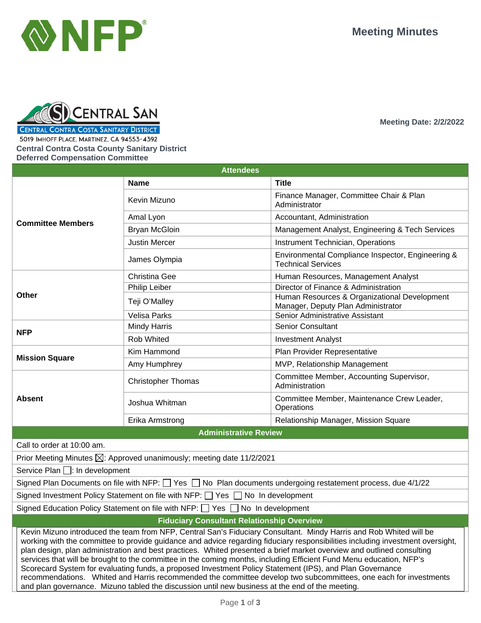**Meeting Date: 2/2/2022**





**CENTRAL CONTRA COSTA SANITARY DISTRICT** 

5019 IMHOFF PLACE, MARTINEZ, CA 94553-4392

**Central Contra Costa County Sanitary District Deferred Compensation Committee**

**Attendees Committee Members Name Title** Kevin Mizuno Finance Manager, Committee Chair & Plan Administrator Amal Lyon Accountant, Administration Bryan McGloin **Management Analyst, Engineering & Tech Services** and Management Analyst, Engineering & Tech Services Justin Mercer **Instrument Technician, Operations** James Olympia **Environmental Compliance Inspector**, Engineering & Technical Services **Other** Christina Gee **Human Resources, Management Analyst** Philip Leiber **Director of Finance & Administration** Teji O'Malley Human Resources & Organizational Development Manager, Deputy Plan Administrator Velisa Parks **Senior Administrative Assistant NFP** Mindy Harris Senior Consultant Rob Whited **Investment Analyst Mission Square** Kim Hammond **Plan Provider Representative** Amy Humphrey MVP, Relationship Management **Absent** Christopher Thomas Christopher Thomas Christopher Thomas Christopher Thomas Christopher Thomas **Administration** Joshua Whitman Committee Member, Maintenance Crew Leader, **Operations** Erika Armstrong **Relationship Manager, Mission Square Administrative Review** Call to order at 10:00 am. Prior Meeting Minutes  $\boxtimes$ : Approved unanimously; meeting date 11/2/2021 Service Plan  $\Box$ : In development Signed Plan Documents on file with NFP:  $\Box$  Yes  $\Box$  No Plan documents undergoing restatement process, due 4/1/22 Signed Investment Policy Statement on file with NFP:  $\Box$  Yes  $\Box$  No In development Signed Education Policy Statement on file with NFP:  $\Box$  Yes  $\Box$  No In development **Fiduciary Consultant Relationship Overview** Kevin Mizuno introduced the team from NFP, Central San's Fiduciary Consultant. Mindy Harris and Rob Whited will be working with the committee to provide guidance and advice regarding fiduciary responsibilities including investment oversight, plan design, plan administration and best practices. Whited presented a brief market overview and outlined consulting services that will be brought to the committee in the coming months, including Efficient Fund Menu education, NFP's Scorecard System for evaluating funds, a proposed Investment Policy Statement (IPS), and Plan Governance recommendations. Whited and Harris recommended the committee develop two subcommittees, one each for investments and plan governance. Mizuno tabled the discussion until new business at the end of the meeting.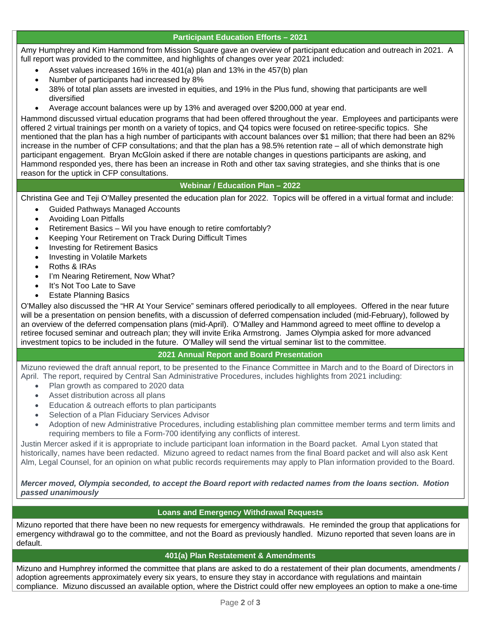# **Participant Education Efforts – 2021**

Amy Humphrey and Kim Hammond from Mission Square gave an overview of participant education and outreach in 2021. A full report was provided to the committee, and highlights of changes over year 2021 included:

- Asset values increased 16% in the 401(a) plan and 13% in the 457(b) plan
- Number of participants had increased by 8%
- 38% of total plan assets are invested in equities, and 19% in the Plus fund, showing that participants are well diversified
- Average account balances were up by 13% and averaged over \$200,000 at year end.

Hammond discussed virtual education programs that had been offered throughout the year. Employees and participants were offered 2 virtual trainings per month on a variety of topics, and Q4 topics were focused on retiree-specific topics. She mentioned that the plan has a high number of participants with account balances over \$1 million; that there had been an 82% increase in the number of CFP consultations; and that the plan has a 98.5% retention rate – all of which demonstrate high participant engagement. Bryan McGloin asked if there are notable changes in questions participants are asking, and Hammond responded yes, there has been an increase in Roth and other tax saving strategies, and she thinks that is one reason for the uptick in CFP consultations.

## **Webinar / Education Plan – 2022**

Christina Gee and Teji O'Malley presented the education plan for 2022. Topics will be offered in a virtual format and include:

- Guided Pathways Managed Accounts
- Avoiding Loan Pitfalls
- Retirement Basics Wil you have enough to retire comfortably?
- Keeping Your Retirement on Track During Difficult Times
- Investing for Retirement Basics
- Investing in Volatile Markets
- Roths & IRAs
- I'm Nearing Retirement, Now What?
- It's Not Too Late to Save
- **Estate Planning Basics**

O'Malley also discussed the "HR At Your Service" seminars offered periodically to all employees. Offered in the near future will be a presentation on pension benefits, with a discussion of deferred compensation included (mid-February), followed by an overview of the deferred compensation plans (mid-April). O'Malley and Hammond agreed to meet offline to develop a retiree focused seminar and outreach plan; they will invite Erika Armstrong. James Olympia asked for more advanced investment topics to be included in the future. O'Malley will send the virtual seminar list to the committee.

## **2021 Annual Report and Board Presentation**

Mizuno reviewed the draft annual report, to be presented to the Finance Committee in March and to the Board of Directors in April. The report, required by Central San Administrative Procedures, includes highlights from 2021 including:

- Plan growth as compared to 2020 data
- Asset distribution across all plans
- Education & outreach efforts to plan participants
- Selection of a Plan Fiduciary Services Advisor
- Adoption of new Administrative Procedures, including establishing plan committee member terms and term limits and requiring members to file a Form-700 identifying any conflicts of interest.

Justin Mercer asked if it is appropriate to include participant loan information in the Board packet. Amal Lyon stated that historically, names have been redacted. Mizuno agreed to redact names from the final Board packet and will also ask Kent Alm, Legal Counsel, for an opinion on what public records requirements may apply to Plan information provided to the Board.

*Mercer moved, Olympia seconded, to accept the Board report with redacted names from the loans section. Motion passed unanimously* 

## **Loans and Emergency Withdrawal Requests**

Mizuno reported that there have been no new requests for emergency withdrawals. He reminded the group that applications for emergency withdrawal go to the committee, and not the Board as previously handled. Mizuno reported that seven loans are in default.

#### **401(a) Plan Restatement & Amendments**

Mizuno and Humphrey informed the committee that plans are asked to do a restatement of their plan documents, amendments / adoption agreements approximately every six years, to ensure they stay in accordance with regulations and maintain compliance. Mizuno discussed an available option, where the District could offer new employees an option to make a one-time